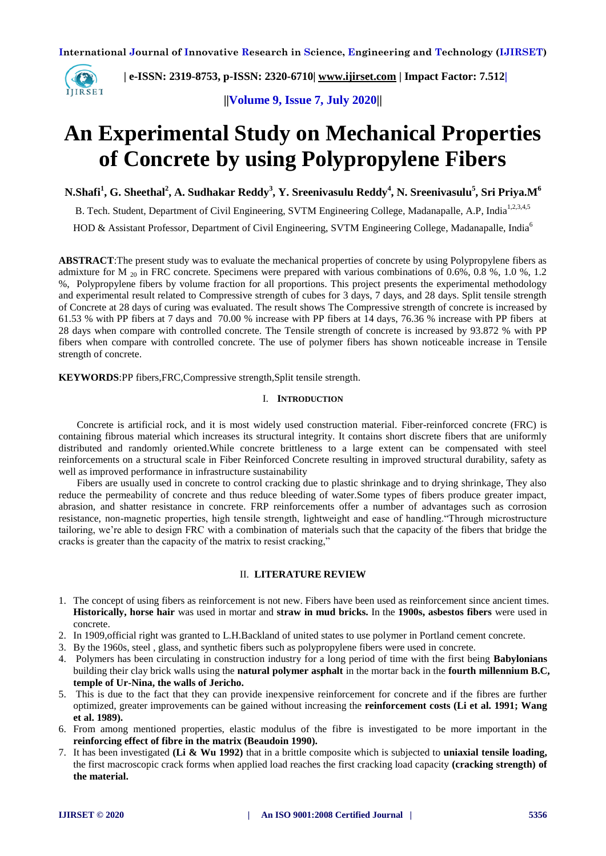

 **| e-ISSN: 2319-8753, p-ISSN: 2320-6710| [www.ijirset.com](http://www.ijirset.com/) | Impact Factor: 7.512|**

**||Volume 9, Issue 7, July 2020||**

## **An Experimental Study on Mechanical Properties of Concrete by using Polypropylene Fibers**

**N.Shafi<sup>1</sup> , G. Sheethal<sup>2</sup> , A. Sudhakar Reddy<sup>3</sup> , Y. Sreenivasulu Reddy<sup>4</sup> , N. Sreenivasulu<sup>5</sup> , Sri Priya.M<sup>6</sup>**

B. Tech. Student, Department of Civil Engineering, SVTM Engineering College, Madanapalle, A.P, India<sup>1,2,3,4,5</sup>

HOD & Assistant Professor, Department of Civil Engineering, SVTM Engineering College, Madanapalle, India<sup>6</sup>

**ABSTRACT**:The present study was to evaluate the mechanical properties of concrete by using Polypropylene fibers as admixture for M  $_{20}$  in FRC concrete. Specimens were prepared with various combinations of 0.6%, 0.8 %, 1.0 %, 1.2 %, Polypropylene fibers by volume fraction for all proportions. This project presents the experimental methodology and experimental result related to Compressive strength of cubes for 3 days, 7 days, and 28 days. Split tensile strength of Concrete at 28 days of curing was evaluated. The result shows The Compressive strength of concrete is increased by 61.53 % with PP fibers at 7 days and 70.00 % increase with PP fibers at 14 days, 76.36 % increase with PP fibers at 28 days when compare with controlled concrete. The Tensile strength of concrete is increased by 93.872 % with PP fibers when compare with controlled concrete. The use of polymer fibers has shown noticeable increase in Tensile strength of concrete.

**KEYWORDS:PP** fibers, FRC, Compressive strength, Split tensile strength.

#### I. **INTRODUCTION**

Concrete is artificial rock, and it is most widely used construction material. Fiber-reinforced concrete (FRC) is containing fibrous material which increases its structural integrity. It contains short discrete fibers that are uniformly distributed and randomly oriented.While concrete brittleness to a large extent can be compensated with steel reinforcements on a structural scale in Fiber Reinforced Concrete resulting in improved structural durability, safety as well as improved performance in infrastructure sustainability

Fibers are usually used in concrete to control cracking due to plastic shrinkage and to drying shrinkage, They also reduce the permeability of concrete and thus reduce bleeding of water.Some types of fibers produce greater impact, abrasion, and shatter resistance in concrete. FRP reinforcements offer a number of advantages such as corrosion resistance, non-magnetic properties, high tensile strength, lightweight and ease of handling."Through microstructure tailoring, we're able to design FRC with a combination of materials such that the capacity of the fibers that bridge the cracks is greater than the capacity of the matrix to resist cracking,"

#### II. **LITERATURE REVIEW**

- 1. The concept of using fibers as reinforcement is not new. Fibers have been used as reinforcement since ancient times. **Historically, horse hair** was used in mortar and **straw in mud bricks.** In the **1900s, asbestos fibers** were used in concrete.
- 2. In 1909,official right was granted to L.H.Backland of united states to use polymer in Portland cement concrete.
- 3. By the 1960s, steel , glass, and synthetic fibers such as polypropylene fibers were used in concrete.
- 4. Polymers has been circulating in construction industry for a long period of time with the first being **Babylonians** building their clay brick walls using the **natural polymer asphalt** in the mortar back in the **fourth millennium B.C, temple of Ur-Nina, the walls of Jericho.**
- 5. This is due to the fact that they can provide inexpensive reinforcement for concrete and if the fibres are further optimized, greater improvements can be gained without increasing the **reinforcement costs (Li et al. 1991; Wang et al. 1989).**
- 6. From among mentioned properties, elastic modulus of the fibre is investigated to be more important in the **reinforcing effect of fibre in the matrix (Beaudoin 1990).**
- 7. It has been investigated **(Li & Wu 1992)** that in a brittle composite which is subjected to **uniaxial tensile loading,**  the first macroscopic crack forms when applied load reaches the first cracking load capacity **(cracking strength) of the material.**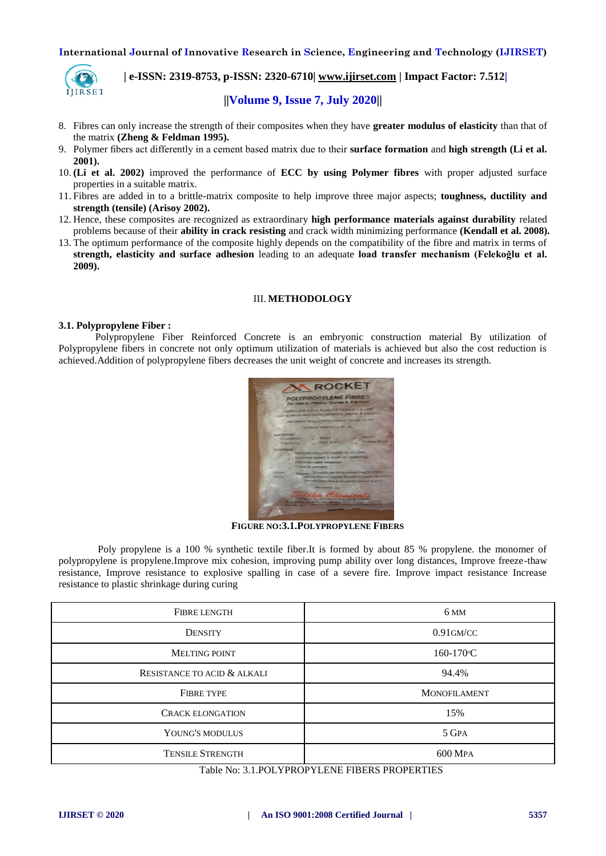

 **| e-ISSN: 2319-8753, p-ISSN: 2320-6710| [www.ijirset.com](http://www.ijirset.com/) | Impact Factor: 7.512|**

## **||Volume 9, Issue 7, July 2020||**

- 8. Fibres can only increase the strength of their composites when they have **greater modulus of elasticity** than that of the matrix **(Zheng & Feldman 1995).**
- 9. Polymer fibers act differently in a cement based matrix due to their **surface formation** and **high strength (Li et al. 2001).**
- 10. **(Li et al. 2002)** improved the performance of **ECC by using Polymer fibres** with proper adjusted surface properties in a suitable matrix.
- 11. Fibres are added in to a brittle-matrix composite to help improve three major aspects; **toughness, ductility and strength (tensile) (Arisoy 2002).**
- 12. Hence, these composites are recognized as extraordinary **high performance materials against durability** related problems because of their **ability in crack resisting** and crack width minimizing performance **(Kendall et al. 2008).**
- 13. The optimum performance of the composite highly depends on the compatibility of the fibre and matrix in terms of **strength, elasticity and surface adhesion** leading to an adequate **load transfer mechanism (Felekoğlu et al. 2009).**

## III. **METHODOLOGY**

#### **3.1. Polypropylene Fiber :**

Polypropylene Fiber Reinforced Concrete is an embryonic construction material By utilization of Polypropylene fibers in concrete not only optimum utilization of materials is achieved but also the cost reduction is achieved.Addition of polypropylene fibers decreases the unit weight of concrete and increases its strength.



 **FIGURE NO:3.1.POLYPROPYLENE FIBERS**

Poly propylene is a 100 % synthetic textile fiber.It is formed by about 85 % propylene. the monomer of polypropylene is propylene.Improve mix cohesion, improving pump ability over long distances, Improve freeze-thaw resistance, Improve resistance to explosive spalling in case of a severe fire. Improve impact resistance Increase resistance to plastic shrinkage during curing

| <b>FIBRE LENGTH</b>         | 6 MM                |  |
|-----------------------------|---------------------|--|
| <b>DENSITY</b>              | $0.91$ GM/CC        |  |
| <b>MELTING POINT</b>        | $160-170$ °C        |  |
| RESISTANCE TO ACID & ALKALI | 94.4%               |  |
| <b>FIBRE TYPE</b>           | <b>MONOFILAMENT</b> |  |
| <b>CRACK ELONGATION</b>     | 15%                 |  |
| YOUNG'S MODULUS             | 5 GPA               |  |
| <b>TENSILE STRENGTH</b>     | <b>600 MPA</b>      |  |

Table No: 3.1.POLYPROPYLENE FIBERS PROPERTIES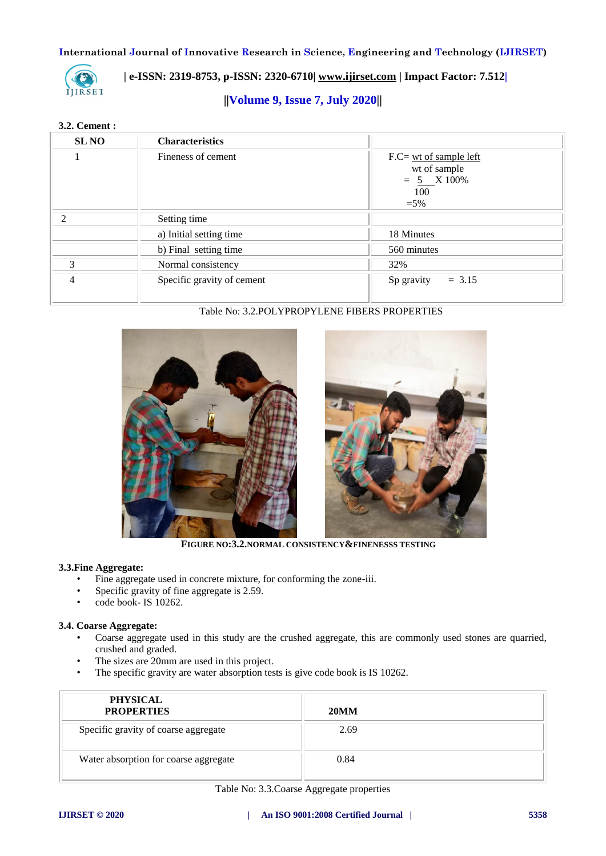

 **| e-ISSN: 2319-8753, p-ISSN: 2320-6710| [www.ijirset.com](http://www.ijirset.com/) | Impact Factor: 7.512|**

**||Volume 9, Issue 7, July 2020||**

## **3.2. Cement :**

| <b>SLNO</b>    | <b>Characteristics</b>     |                                                                           |
|----------------|----------------------------|---------------------------------------------------------------------------|
|                | Fineness of cement         | $F.C=wt of sample left$<br>wt of sample<br>$= 5$ X 100%<br>100<br>$= 5\%$ |
|                | Setting time               |                                                                           |
|                | a) Initial setting time    | 18 Minutes                                                                |
|                | b) Final setting time      | 560 minutes                                                               |
| 3              | Normal consistency         | 32%                                                                       |
| $\overline{4}$ | Specific gravity of cement | $= 3.15$<br>Sp gravity                                                    |

Table No: 3.2.POLYPROPYLENE FIBERS PROPERTIES



**FIGURE NO:3.2.NORMAL CONSISTENCY&FINENESSS TESTING**

## **3.3.Fine Aggregate:**

- Fine aggregate used in concrete mixture, for conforming the zone-iii.
- Specific gravity of fine aggregate is 2.59.
- code book- IS 10262.

## **3.4. Coarse Aggregate:**

- Coarse aggregate used in this study are the crushed aggregate, this are commonly used stones are quarried, crushed and graded.
- The sizes are 20mm are used in this project.<br>• The specific gravity are water absorption test
- The specific gravity are water absorption tests is give code book is IS 10262.

| <b>PHYSICAL</b><br><b>PROPERTIES</b>  | <b>20MM</b> |
|---------------------------------------|-------------|
| Specific gravity of coarse aggregate  | 2.69        |
| Water absorption for coarse aggregate | 0.84        |

Table No: 3.3.Coarse Aggregate properties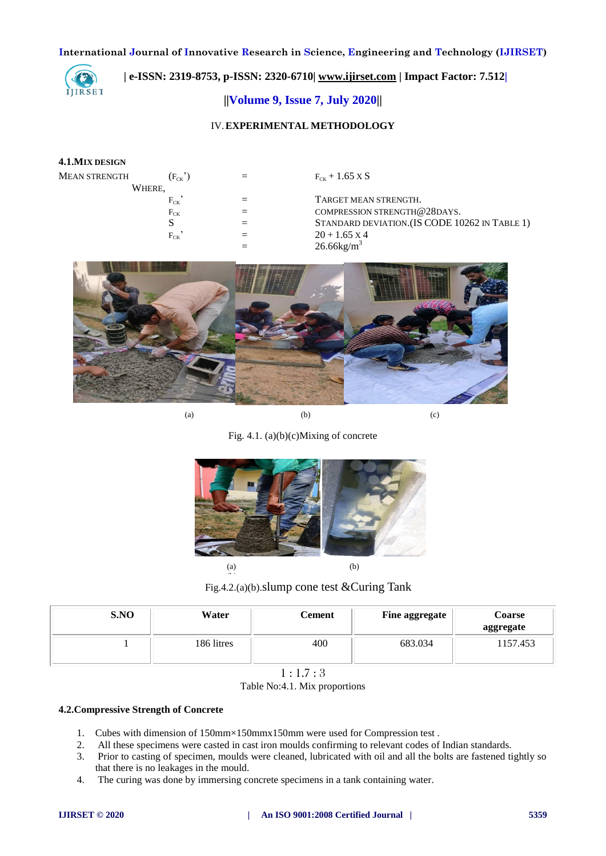

 **| e-ISSN: 2319-8753, p-ISSN: 2320-6710| [www.ijirset.com](http://www.ijirset.com/) | Impact Factor: 7.512|**

## **||Volume 9, Issue 7, July 2020||**

## IV.**EXPERIMENTAL METHODOLOGY**

## **4.1.MIX DESIGN**

| <b>MEAN STRENGTH</b> | $(F_{CK})$ | $=$ | $F_{CK}$ + 1.65 X S                            |
|----------------------|------------|-----|------------------------------------------------|
|                      | WHERE,     |     |                                                |
|                      | $F_{CK}$   | $=$ | TARGET MEAN STRENGTH.                          |
|                      | $F_{CK}$   |     | COMPRESSION STRENGTH@28DAYS.                   |
|                      |            |     | STANDARD DEVIATION. (IS CODE 10262 IN TABLE 1) |
|                      | $F_{CK}$   |     | $20 + 1.65 \times 4$                           |
|                      |            |     | $26.66$ kg/m <sup>3</sup>                      |
|                      |            |     |                                                |



(a)  $(b)$  (c)

 $(b)$ 

## Fig. 4.1. (a)(b)(c)Mixing of concrete



Fig.4.2.(a)(b).slump cone test &Curing Tank (b)

| S.NO | Water      | Cement | Fine aggregate | <b>Coarse</b><br>aggregate |
|------|------------|--------|----------------|----------------------------|
|      | 186 litres | 400    | 683.034        | 1157.453                   |



#### Table No:4.1. Mix proportions

## **4.2.Compressive Strength of Concrete**

- 1. Cubes with dimension of 150mm×150mmx150mm were used for Compression test .
- 2. All these specimens were casted in cast iron moulds confirming to relevant codes of Indian standards.
- 3. Prior to casting of specimen, moulds were cleaned, lubricated with oil and all the bolts are fastened tightly so that there is no leakages in the mould.
- 4. The curing was done by immersing concrete specimens in a tank containing water.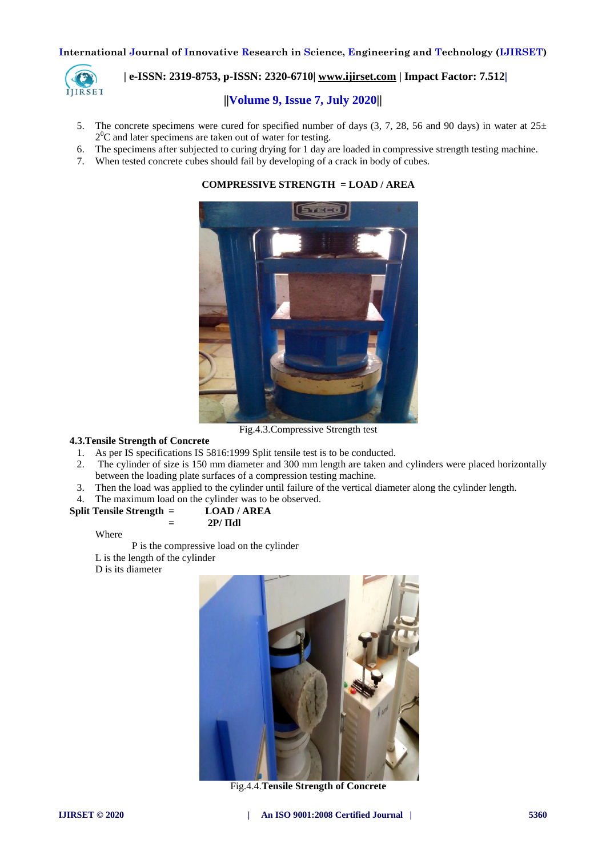

## **| e-ISSN: 2319-8753, p-ISSN: 2320-6710| [www.ijirset.com](http://www.ijirset.com/) | Impact Factor: 7.512|**

## **||Volume 9, Issue 7, July 2020||**

- 5. The concrete specimens were cured for specified number of days  $(3, 7, 28, 56, 40, 90, 40)$  and 90 days) in water at  $25\pm$ 2<sup>0</sup>C and later specimens are taken out of water for testing.
- 6. The specimens after subjected to curing drying for 1 day are loaded in compressive strength testing machine.
- 7. When tested concrete cubes should fail by developing of a crack in body of cubes.



## **COMPRESSIVE STRENGTH = LOAD / AREA**

Fig.4.3.Compressive Strength test

## **4.3.Tensile Strength of Concrete**

- 1. As per IS specifications IS 5816:1999 Split tensile test is to be conducted.
- 2. The cylinder of size is 150 mm diameter and 300 mm length are taken and cylinders were placed horizontally between the loading plate surfaces of a compression testing machine.
- 3. Then the load was applied to the cylinder until failure of the vertical diameter along the cylinder length.
- 4. The maximum load on the cylinder was to be observed.

## **Split Tensile Strength = LOAD / AREA**

**= 2P/ Πdl**

Where

P is the compressive load on the cylinder L is the length of the cylinder

D is its diameter



Fig.4.4.**Tensile Strength of Concrete**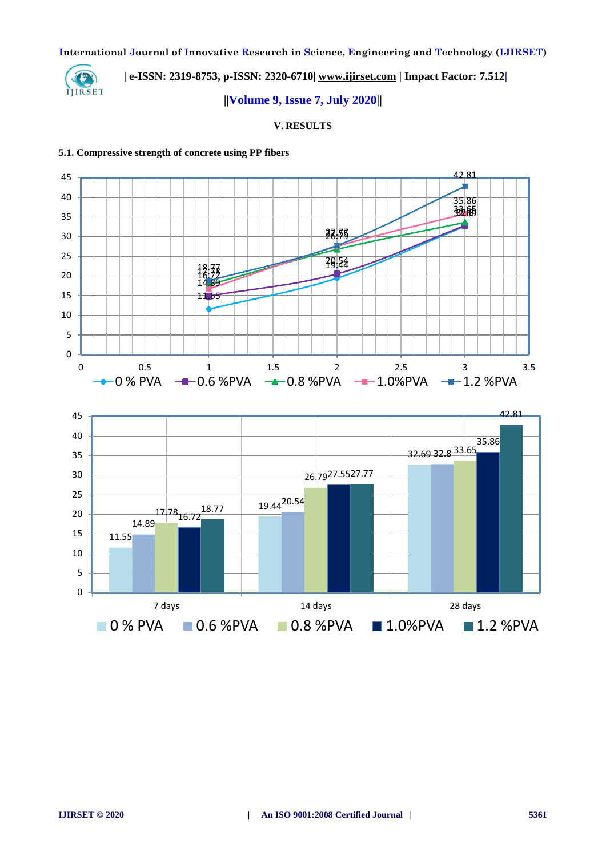

## **| e-ISSN: 2319-8753, p-ISSN: 2320-6710| [www.ijirset.com](http://www.ijirset.com/) | Impact Factor: 7.512|**

## **||Volume 9, Issue 7, July 2020||**

## **V. RESULTS**

## **5.1. Compressive strength of concrete using PP fibers**

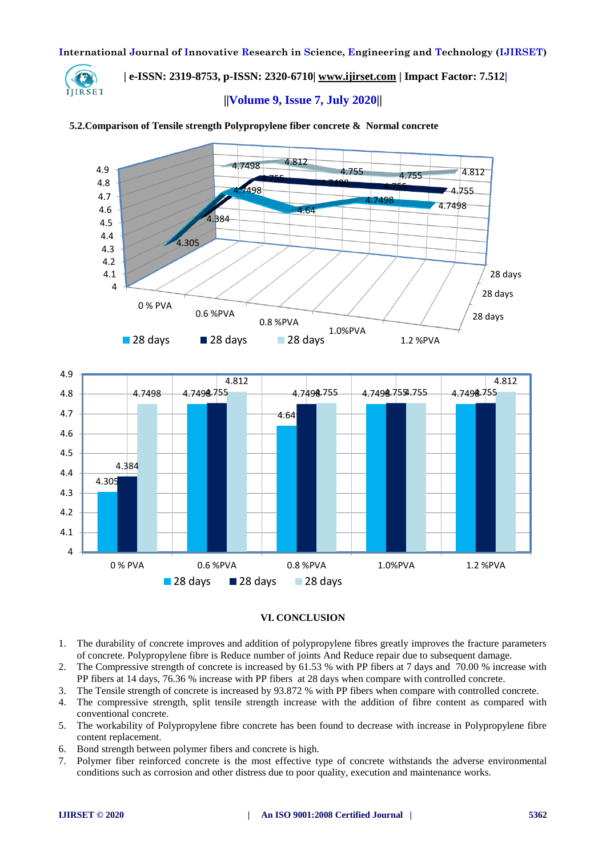

 **| e-ISSN: 2319-8753, p-ISSN: 2320-6710| [www.ijirset.com](http://www.ijirset.com/) | Impact Factor: 7.512| ||Volume 9, Issue 7, July 2020||**



## **5.2.Comparison of Tensile strength Polypropylene fiber concrete & Normal concrete**

## **VI. CONCLUSION**

- 1. The durability of concrete improves and addition of polypropylene fibres greatly improves the fracture parameters of concrete. Polypropylene fibre is Reduce number of joints And Reduce repair due to subsequent damage.
- 2. The Compressive strength of concrete is increased by 61.53 % with PP fibers at 7 days and 70.00 % increase with PP fibers at 14 days, 76.36 % increase with PP fibers at 28 days when compare with controlled concrete.
- 3. The Tensile strength of concrete is increased by 93.872 % with PP fibers when compare with controlled concrete.
- 4. The compressive strength, split tensile strength increase with the addition of fibre content as compared with conventional concrete.
- 5. The workability of Polypropylene fibre concrete has been found to decrease with increase in Polypropylene fibre content replacement.
- 6. Bond strength between polymer fibers and concrete is high.
- 7. Polymer fiber reinforced concrete is the most effective type of concrete withstands the adverse environmental conditions such as corrosion and other distress due to poor quality, execution and maintenance works.